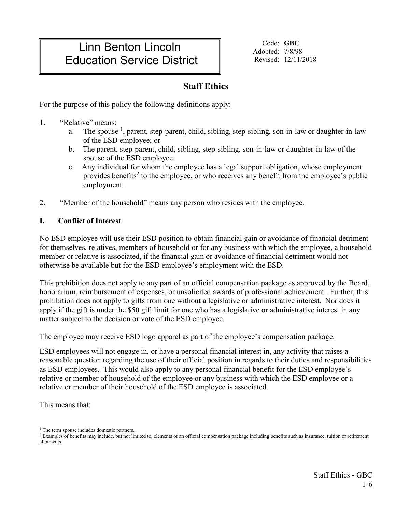# Linn Benton Lincoln Education Service District

Code: **GBC** Adopted: 7/8/98 Revised: 12/11/2018

## **Staff Ethics**

For the purpose of this policy the following definitions apply:

- 1. "Relative" means:
	- a. The spouse <sup>1</sup>, parent, step-parent, child, sibling, step-sibling, son-in-law or daughter-in-law of the ESD employee; or
	- b. The parent, step-parent, child, sibling, step-sibling, son-in-law or daughter-in-law of the spouse of the ESD employee.
	- c. Any individual for whom the employee has a legal support obligation, whose employment provides benefits<sup>2</sup> to the employee, or who receives any benefit from the employee's public employment.
- 2. "Member of the household" means any person who resides with the employee.

## **I. Conflict of Interest**

No ESD employee will use their ESD position to obtain financial gain or avoidance of financial detriment for themselves, relatives, members of household or for any business with which the employee, a household member or relative is associated, if the financial gain or avoidance of financial detriment would not otherwise be available but for the ESD employee's employment with the ESD.

This prohibition does not apply to any part of an official compensation package as approved by the Board, honorarium, reimbursement of expenses, or unsolicited awards of professional achievement. Further, this prohibition does not apply to gifts from one without a legislative or administrative interest. Nor does it apply if the gift is under the \$50 gift limit for one who has a legislative or administrative interest in any matter subject to the decision or vote of the ESD employee.

The employee may receive ESD logo apparel as part of the employee's compensation package.

ESD employees will not engage in, or have a personal financial interest in, any activity that raises a reasonable question regarding the use of their official position in regards to their duties and responsibilities as ESD employees. This would also apply to any personal financial benefit for the ESD employee's relative or member of household of the employee or any business with which the ESD employee or a relative or member of their household of the ESD employee is associated.

This means that:

<sup>&</sup>lt;sup>1</sup> The term spouse includes domestic partners.

<sup>&</sup>lt;sup>2</sup> Examples of benefits may include, but not limited to, elements of an official compensation package including benefits such as insurance, tuition or retirement allotments.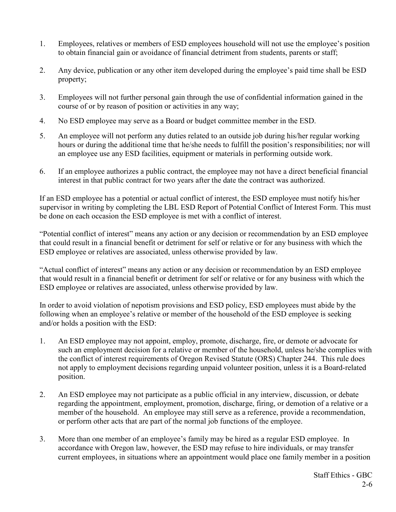- 1. Employees, relatives or members of ESD employees household will not use the employee's position to obtain financial gain or avoidance of financial detriment from students, parents or staff;
- 2. Any device, publication or any other item developed during the employee's paid time shall be ESD property;
- 3. Employees will not further personal gain through the use of confidential information gained in the course of or by reason of position or activities in any way;
- 4. No ESD employee may serve as a Board or budget committee member in the ESD.
- 5. An employee will not perform any duties related to an outside job during his/her regular working hours or during the additional time that he/she needs to fulfill the position's responsibilities; nor will an employee use any ESD facilities, equipment or materials in performing outside work.
- 6. If an employee authorizes a public contract, the employee may not have a direct beneficial financial interest in that public contract for two years after the date the contract was authorized.

If an ESD employee has a potential or actual conflict of interest, the ESD employee must notify his/her supervisor in writing by completing the LBL ESD Report of Potential Conflict of Interest Form. This must be done on each occasion the ESD employee is met with a conflict of interest.

"Potential conflict of interest" means any action or any decision or recommendation by an ESD employee that could result in a financial benefit or detriment for self or relative or for any business with which the ESD employee or relatives are associated, unless otherwise provided by law.

"Actual conflict of interest" means any action or any decision or recommendation by an ESD employee that would result in a financial benefit or detriment for self or relative or for any business with which the ESD employee or relatives are associated, unless otherwise provided by law.

In order to avoid violation of nepotism provisions and ESD policy, ESD employees must abide by the following when an employee's relative or member of the household of the ESD employee is seeking and/or holds a position with the ESD:

- 1. An ESD employee may not appoint, employ, promote, discharge, fire, or demote or advocate for such an employment decision for a relative or member of the household, unless he/she complies with the conflict of interest requirements of Oregon Revised Statute (ORS) Chapter 244. This rule does not apply to employment decisions regarding unpaid volunteer position, unless it is a Board-related position.
- 2. An ESD employee may not participate as a public official in any interview, discussion, or debate regarding the appointment, employment, promotion, discharge, firing, or demotion of a relative or a member of the household. An employee may still serve as a reference, provide a recommendation, or perform other acts that are part of the normal job functions of the employee.
- 3. More than one member of an employee's family may be hired as a regular ESD employee. In accordance with Oregon law, however, the ESD may refuse to hire individuals, or may transfer current employees, in situations where an appointment would place one family member in a position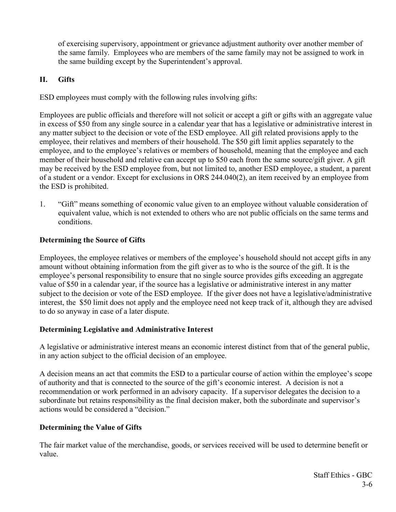of exercising supervisory, appointment or grievance adjustment authority over another member of the same family. Employees who are members of the same family may not be assigned to work in the same building except by the Superintendent's approval.

#### **II. Gifts**

ESD employees must comply with the following rules involving gifts:

Employees are public officials and therefore will not solicit or accept a gift or gifts with an aggregate value in excess of \$50 from any single source in a calendar year that has a legislative or administrative interest in any matter subject to the decision or vote of the ESD employee. All gift related provisions apply to the employee, their relatives and members of their household. The \$50 gift limit applies separately to the employee, and to the employee's relatives or members of household, meaning that the employee and each member of their household and relative can accept up to \$50 each from the same source/gift giver. A gift may be received by the ESD employee from, but not limited to, another ESD employee, a student, a parent of a student or a vendor. Except for exclusions in ORS 244.040(2), an item received by an employee from the ESD is prohibited.

1. "Gift" means something of economic value given to an employee without valuable consideration of equivalent value, which is not extended to others who are not public officials on the same terms and conditions.

## **Determining the Source of Gifts**

Employees, the employee relatives or members of the employee's household should not accept gifts in any amount without obtaining information from the gift giver as to who is the source of the gift. It is the employee's personal responsibility to ensure that no single source provides gifts exceeding an aggregate value of \$50 in a calendar year, if the source has a legislative or administrative interest in any matter subject to the decision or vote of the ESD employee. If the giver does not have a legislative/administrative interest, the \$50 limit does not apply and the employee need not keep track of it, although they are advised to do so anyway in case of a later dispute.

#### **Determining Legislative and Administrative Interest**

A legislative or administrative interest means an economic interest distinct from that of the general public, in any action subject to the official decision of an employee.

A decision means an act that commits the ESD to a particular course of action within the employee's scope of authority and that is connected to the source of the gift's economic interest. A decision is not a recommendation or work performed in an advisory capacity. If a supervisor delegates the decision to a subordinate but retains responsibility as the final decision maker, both the subordinate and supervisor's actions would be considered a "decision."

## **Determining the Value of Gifts**

The fair market value of the merchandise, goods, or services received will be used to determine benefit or value.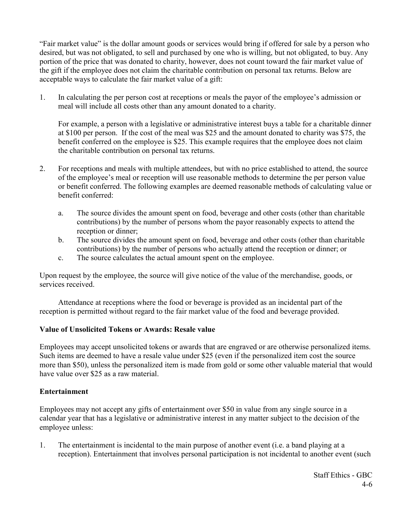"Fair market value" is the dollar amount goods or services would bring if offered for sale by a person who desired, but was not obligated, to sell and purchased by one who is willing, but not obligated, to buy. Any portion of the price that was donated to charity, however, does not count toward the fair market value of the gift if the employee does not claim the charitable contribution on personal tax returns. Below are acceptable ways to calculate the fair market value of a gift:

1. In calculating the per person cost at receptions or meals the payor of the employee's admission or meal will include all costs other than any amount donated to a charity.

For example, a person with a legislative or administrative interest buys a table for a charitable dinner at \$100 per person. If the cost of the meal was \$25 and the amount donated to charity was \$75, the benefit conferred on the employee is \$25. This example requires that the employee does not claim the charitable contribution on personal tax returns.

- 2. For receptions and meals with multiple attendees, but with no price established to attend, the source of the employee's meal or reception will use reasonable methods to determine the per person value or benefit conferred. The following examples are deemed reasonable methods of calculating value or benefit conferred:
	- a. The source divides the amount spent on food, beverage and other costs (other than charitable contributions) by the number of persons whom the payor reasonably expects to attend the reception or dinner;
	- b. The source divides the amount spent on food, beverage and other costs (other than charitable contributions) by the number of persons who actually attend the reception or dinner; or
	- c. The source calculates the actual amount spent on the employee.

Upon request by the employee, the source will give notice of the value of the merchandise, goods, or services received.

Attendance at receptions where the food or beverage is provided as an incidental part of the reception is permitted without regard to the fair market value of the food and beverage provided.

## **Value of Unsolicited Tokens or Awards: Resale value**

Employees may accept unsolicited tokens or awards that are engraved or are otherwise personalized items. Such items are deemed to have a resale value under \$25 (even if the personalized item cost the source more than \$50), unless the personalized item is made from gold or some other valuable material that would have value over \$25 as a raw material.

## **Entertainment**

Employees may not accept any gifts of entertainment over \$50 in value from any single source in a calendar year that has a legislative or administrative interest in any matter subject to the decision of the employee unless:

1. The entertainment is incidental to the main purpose of another event (i.e. a band playing at a reception). Entertainment that involves personal participation is not incidental to another event (such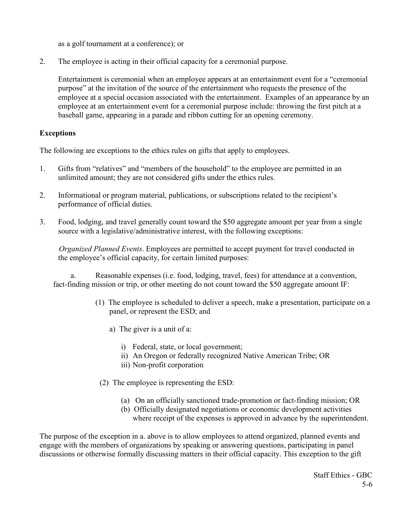as a golf tournament at a conference); or

2. The employee is acting in their official capacity for a ceremonial purpose.

Entertainment is ceremonial when an employee appears at an entertainment event for a "ceremonial purpose" at the invitation of the source of the entertainment who requests the presence of the employee at a special occasion associated with the entertainment. Examples of an appearance by an employee at an entertainment event for a ceremonial purpose include: throwing the first pitch at a baseball game, appearing in a parade and ribbon cutting for an opening ceremony.

#### **Exceptions**

The following are exceptions to the ethics rules on gifts that apply to employees.

- 1. Gifts from "relatives" and "members of the household" to the employee are permitted in an unlimited amount; they are not considered gifts under the ethics rules.
- 2. Informational or program material, publications, or subscriptions related to the recipient's performance of official duties.
- 3. Food, lodging, and travel generally count toward the \$50 aggregate amount per year from a single source with a legislative/administrative interest, with the following exceptions:

*Organized Planned Events*. Employees are permitted to accept payment for travel conducted in the employee's official capacity, for certain limited purposes:

a. Reasonable expenses (i.e. food, lodging, travel, fees) for attendance at a convention, fact-finding mission or trip, or other meeting do not count toward the \$50 aggregate amount IF:

- (1) The employee is scheduled to deliver a speech, make a presentation, participate on a panel, or represent the ESD; and
	- a) The giver is a unit of a:
		- i) Federal, state, or local government;
		- ii) An Oregon or federally recognized Native American Tribe; OR
		- iii) Non-profit corporation
	- (2) The employee is representing the ESD:
		- (a) On an officially sanctioned trade-promotion or fact-finding mission; OR
		- (b) Officially designated negotiations or economic development activities where receipt of the expenses is approved in advance by the superintendent.

The purpose of the exception in a. above is to allow employees to attend organized, planned events and engage with the members of organizations by speaking or answering questions, participating in panel discussions or otherwise formally discussing matters in their official capacity. This exception to the gift